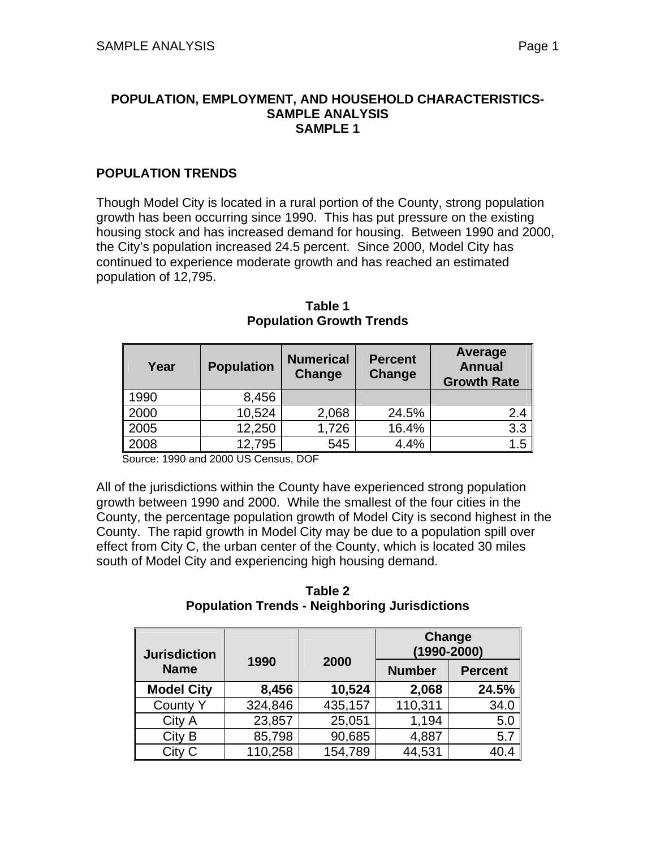#### **POPULATION, EMPLOYMENT, AND HOUSEHOLD CHARACTERISTICS-SAMPLE ANALYSIS SAMPLE 1**

## **POPULATION TRENDS**

Though Model City is located in a rural portion of the County, strong population growth has been occurring since 1990. This has put pressure on the existing housing stock and has increased demand for housing. Between 1990 and 2000, the City's population increased 24.5 percent. Since 2000, Model City has continued to experience moderate growth and has reached an estimated population of 12,795.

| Year | <b>Population</b> | <b>Numerical</b><br><b>Change</b> | <b>Percent</b><br>Change | Average<br><b>Annual</b><br><b>Growth Rate</b> |
|------|-------------------|-----------------------------------|--------------------------|------------------------------------------------|
| 1990 | 8,456             |                                   |                          |                                                |
| 2000 | 10,524            | 2,068                             | 24.5%                    | 2.4                                            |
| 2005 | 12,250            | 1,726                             | 16.4%                    | 3.3                                            |
| 2008 | 12,795            | 545                               | 4.4%                     | 1.5                                            |

**Table 1 Population Growth Trends** 

Source: 1990 and 2000 US Census, DOF

All of the jurisdictions within the County have experienced strong population growth between 1990 and 2000. While the smallest of the four cities in the County, the percentage population growth of Model City is second highest in the County. The rapid growth in Model City may be due to a population spill over effect from City C, the urban center of the County, which is located 30 miles south of Model City and experiencing high housing demand.

**Table 2 Population Trends - Neighboring Jurisdictions** 

| <b>Jurisdiction</b> |         |         | Change<br>$(1990 - 2000)$ |                |
|---------------------|---------|---------|---------------------------|----------------|
| <b>Name</b>         | 1990    | 2000    | <b>Number</b>             | <b>Percent</b> |
| <b>Model City</b>   | 8,456   | 10,524  | 2,068                     | 24.5%          |
| <b>County Y</b>     | 324,846 | 435,157 | 110,311                   | 34.0           |
| City A              | 23,857  | 25,051  | 1,194                     | 5.0            |
| City B              | 85,798  | 90,685  | 4,887                     | 5.7            |
| City C              | 110,258 | 154,789 | 44,531                    | 40.4           |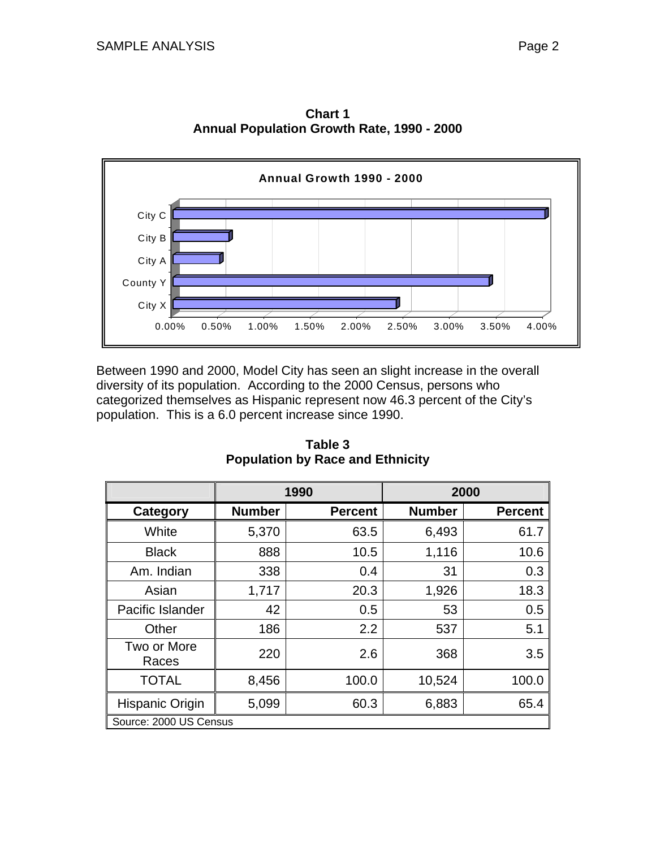

**Chart 1 Annual Population Growth Rate, 1990 - 2000** 

Between 1990 and 2000, Model City has seen an slight increase in the overall diversity of its population. According to the 2000 Census, persons who categorized themselves as Hispanic represent now 46.3 percent of the City's population. This is a 6.0 percent increase since 1990.

|                        |               | 1990           |               | 2000           |
|------------------------|---------------|----------------|---------------|----------------|
| Category               | <b>Number</b> | <b>Percent</b> | <b>Number</b> | <b>Percent</b> |
| White                  | 5,370         | 63.5           | 6,493         | 61.7           |
| <b>Black</b>           | 888           | 10.5           | 1,116         | 10.6           |
| Am. Indian             | 338           | 0.4            | 31            | 0.3            |
| Asian                  | 1,717         | 20.3           | 1,926         | 18.3           |
| Pacific Islander       | 42            | 0.5            | 53            | 0.5            |
| Other                  | 186           | 2.2            | 537           | 5.1            |
| Two or More<br>Races   | 220           | 2.6            | 368           | 3.5            |
| <b>TOTAL</b>           | 8,456         | 100.0          | 10,524        | 100.0          |
| Hispanic Origin        | 5,099         | 60.3           | 6,883         | 65.4           |
| Source: 2000 US Census |               |                |               |                |

**Table 3 Population by Race and Ethnicity**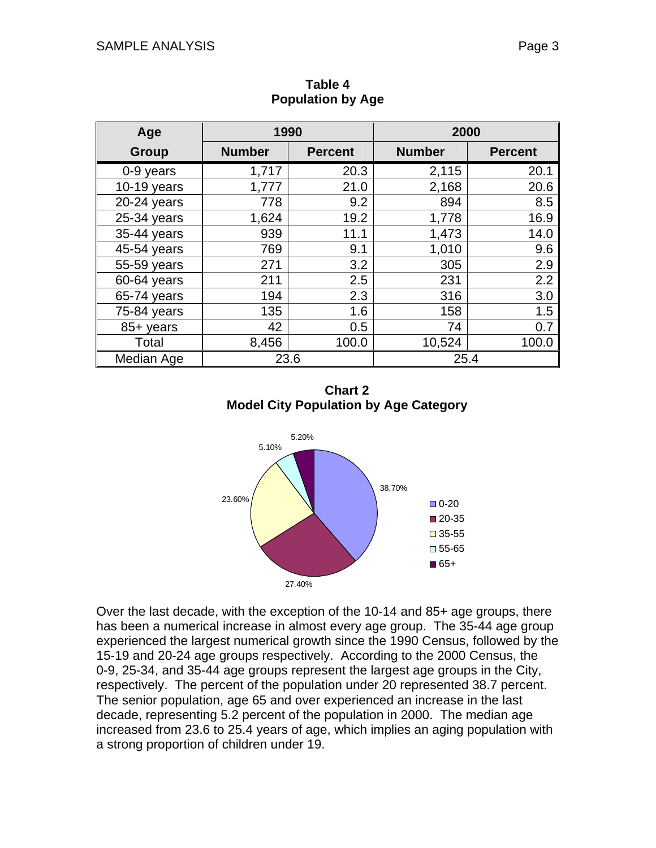| Age           | 1990          |                | 2000          |                |
|---------------|---------------|----------------|---------------|----------------|
| <b>Group</b>  | <b>Number</b> | <b>Percent</b> | <b>Number</b> | <b>Percent</b> |
| 0-9 years     | 1,717         | 20.3           | 2,115         | 20.1           |
| $10-19$ years | 1,777         | 21.0           | 2,168         | 20.6           |
| $20-24$ years | 778           | 9.2            | 894           | 8.5            |
| $25-34$ years | 1,624         | 19.2           | 1,778         | 16.9           |
| 35-44 years   | 939           | 11.1           | 1,473         | 14.0           |
| 45-54 years   | 769           | 9.1            | 1,010         | 9.6            |
| 55-59 years   | 271           | 3.2            | 305           | 2.9            |
| 60-64 years   | 211           | 2.5            | 231           | 2.2            |
| 65-74 years   | 194           | 2.3            | 316           | 3.0            |
| 75-84 years   | 135           | 1.6            | 158           | 1.5            |
| 85+ years     | 42            | 0.5            | 74            | 0.7            |
| Total         | 8,456         | 100.0          | 10,524        | 100.0          |
| Median Age    | 23.6          |                | 25.4          |                |

**Table 4 Population by Age** 

**Chart 2 Model City Population by Age Category** 



Over the last decade, with the exception of the 10-14 and 85+ age groups, there has been a numerical increase in almost every age group. The 35-44 age group experienced the largest numerical growth since the 1990 Census, followed by the 15-19 and 20-24 age groups respectively. According to the 2000 Census, the 0-9, 25-34, and 35-44 age groups represent the largest age groups in the City, respectively. The percent of the population under 20 represented 38.7 percent. The senior population, age 65 and over experienced an increase in the last decade, representing 5.2 percent of the population in 2000. The median age increased from 23.6 to 25.4 years of age, which implies an aging population with a strong proportion of children under 19.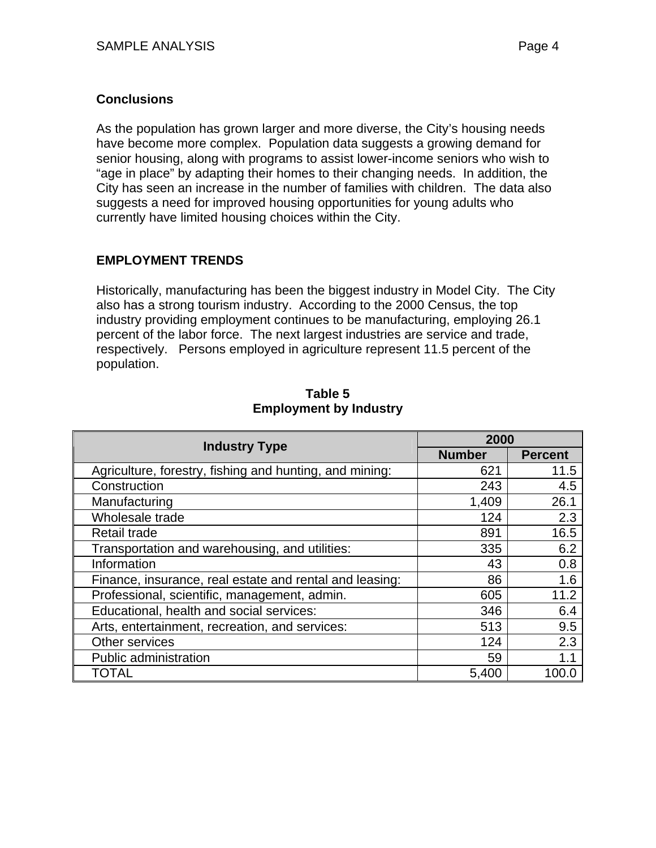## **Conclusions**

As the population has grown larger and more diverse, the City's housing needs have become more complex. Population data suggests a growing demand for senior housing, along with programs to assist lower-income seniors who wish to "age in place" by adapting their homes to their changing needs. In addition, the City has seen an increase in the number of families with children. The data also suggests a need for improved housing opportunities for young adults who currently have limited housing choices within the City.

# **EMPLOYMENT TRENDS**

Historically, manufacturing has been the biggest industry in Model City. The City also has a strong tourism industry. According to the 2000 Census, the top industry providing employment continues to be manufacturing, employing 26.1 percent of the labor force. The next largest industries are service and trade, respectively. Persons employed in agriculture represent 11.5 percent of the population.

| <b>Industry Type</b>                                    | 2000          |                |
|---------------------------------------------------------|---------------|----------------|
|                                                         | <b>Number</b> | <b>Percent</b> |
| Agriculture, forestry, fishing and hunting, and mining: | 621           | 11.5           |
| Construction                                            | 243           | 4.5            |
| Manufacturing                                           | 1,409         | 26.1           |
| Wholesale trade                                         | 124           | 2.3            |
| Retail trade                                            | 891           | 16.5           |
| Transportation and warehousing, and utilities:          | 335           | 6.2            |
| Information                                             | 43            | 0.8            |
| Finance, insurance, real estate and rental and leasing: | 86            | 1.6            |
| Professional, scientific, management, admin.            | 605           | 11.2           |
| Educational, health and social services:                | 346           | 6.4            |
| Arts, entertainment, recreation, and services:          | 513           | 9.5            |
| Other services                                          | 124           | 2.3            |
| Public administration                                   | 59            | 1.1            |
| TOTAL                                                   | 5,400         | 100.0          |

#### **Table 5 Employment by Industry**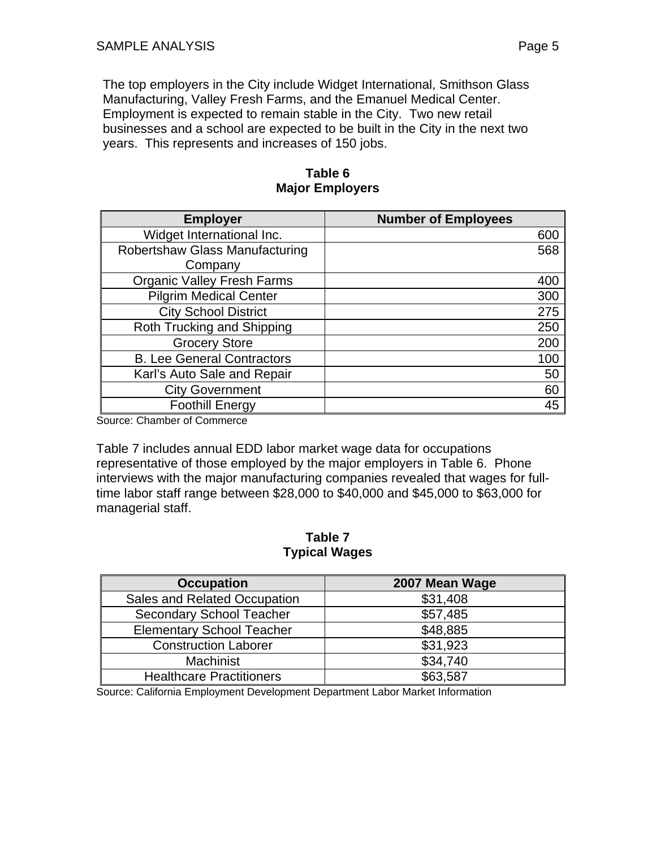The top employers in the City include Widget International, Smithson Glass Manufacturing, Valley Fresh Farms, and the Emanuel Medical Center. Employment is expected to remain stable in the City. Two new retail businesses and a school are expected to be built in the City in the next two years. This represents and increases of 150 jobs.

| <b>Employer</b>                       | <b>Number of Employees</b> |
|---------------------------------------|----------------------------|
| Widget International Inc.             | 600                        |
| <b>Robertshaw Glass Manufacturing</b> | 568                        |
| Company                               |                            |
| <b>Organic Valley Fresh Farms</b>     | 400                        |
| <b>Pilgrim Medical Center</b>         | 300                        |
| <b>City School District</b>           | 275                        |
| Roth Trucking and Shipping            | 250                        |
| <b>Grocery Store</b>                  | 200                        |
| <b>B. Lee General Contractors</b>     | 100                        |
| Karl's Auto Sale and Repair           | 50                         |
| <b>City Government</b>                | 60                         |
| <b>Foothill Energy</b>                | 45                         |
| $0$ eurea: Ohombar ef Oammarga        |                            |

**Table 6 Major Employers**

Source: Chamber of Commerce

Table 7 includes annual EDD labor market wage data for occupations representative of those employed by the major employers in Table 6. Phone interviews with the major manufacturing companies revealed that wages for fulltime labor staff range between \$28,000 to \$40,000 and \$45,000 to \$63,000 for managerial staff.

**Table 7 Typical Wages**

| <b>Occupation</b>                | 2007 Mean Wage |
|----------------------------------|----------------|
| Sales and Related Occupation     | \$31,408       |
| <b>Secondary School Teacher</b>  | \$57,485       |
| <b>Elementary School Teacher</b> | \$48,885       |
| <b>Construction Laborer</b>      | \$31,923       |
| <b>Machinist</b>                 | \$34,740       |
| <b>Healthcare Practitioners</b>  | \$63,587       |

Source: California Employment Development Department Labor Market Information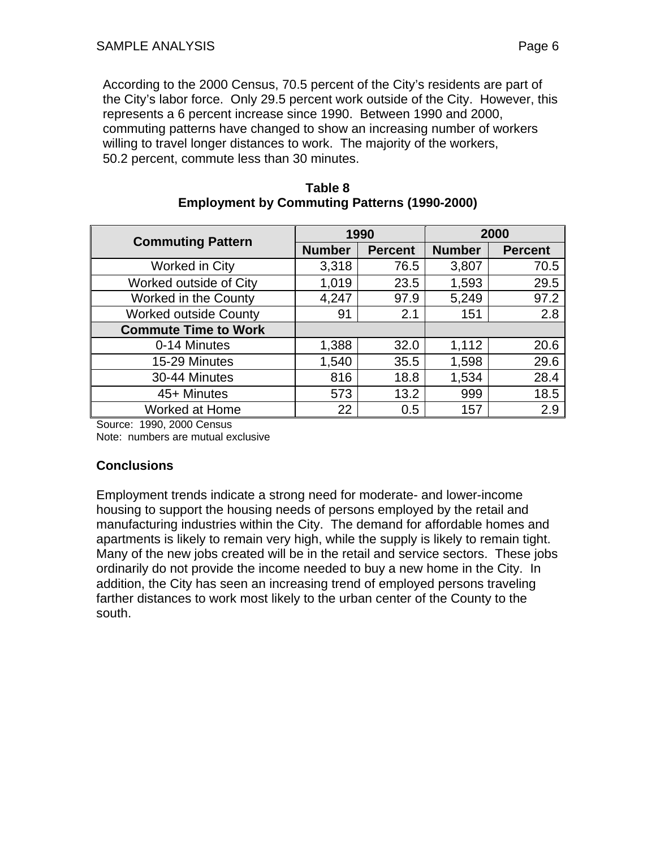According to the 2000 Census, 70.5 percent of the City's residents are part of the City's labor force. Only 29.5 percent work outside of the City. However, this represents a 6 percent increase since 1990. Between 1990 and 2000, commuting patterns have changed to show an increasing number of workers willing to travel longer distances to work. The majority of the workers, 50.2 percent, commute less than 30 minutes.

| <b>Commuting Pattern</b>     | 1990          |                | 2000          |                |
|------------------------------|---------------|----------------|---------------|----------------|
|                              | <b>Number</b> | <b>Percent</b> | <b>Number</b> | <b>Percent</b> |
| Worked in City               | 3,318         | 76.5           | 3,807         | 70.5           |
| Worked outside of City       | 1,019         | 23.5           | 1,593         | 29.5           |
| Worked in the County         | 4,247         | 97.9           | 5,249         | 97.2           |
| <b>Worked outside County</b> | 91            | 2.1            | 151           | 2.8            |
| <b>Commute Time to Work</b>  |               |                |               |                |
| 0-14 Minutes                 | 1,388         | 32.0           | 1,112         | 20.6           |
| 15-29 Minutes                | 1,540         | 35.5           | 1,598         | 29.6           |
| 30-44 Minutes                | 816           | 18.8           | 1,534         | 28.4           |
| 45+ Minutes                  | 573           | 13.2           | 999           | 18.5           |
| Worked at Home               | 22            | 0.5            | 157           | 2.9            |

#### **Table 8 Employment by Commuting Patterns (1990-2000)**

Source: 1990, 2000 Census Note: numbers are mutual exclusive

## **Conclusions**

Employment trends indicate a strong need for moderate- and lower-income housing to support the housing needs of persons employed by the retail and manufacturing industries within the City. The demand for affordable homes and apartments is likely to remain very high, while the supply is likely to remain tight. Many of the new jobs created will be in the retail and service sectors. These jobs ordinarily do not provide the income needed to buy a new home in the City. In addition, the City has seen an increasing trend of employed persons traveling farther distances to work most likely to the urban center of the County to the south.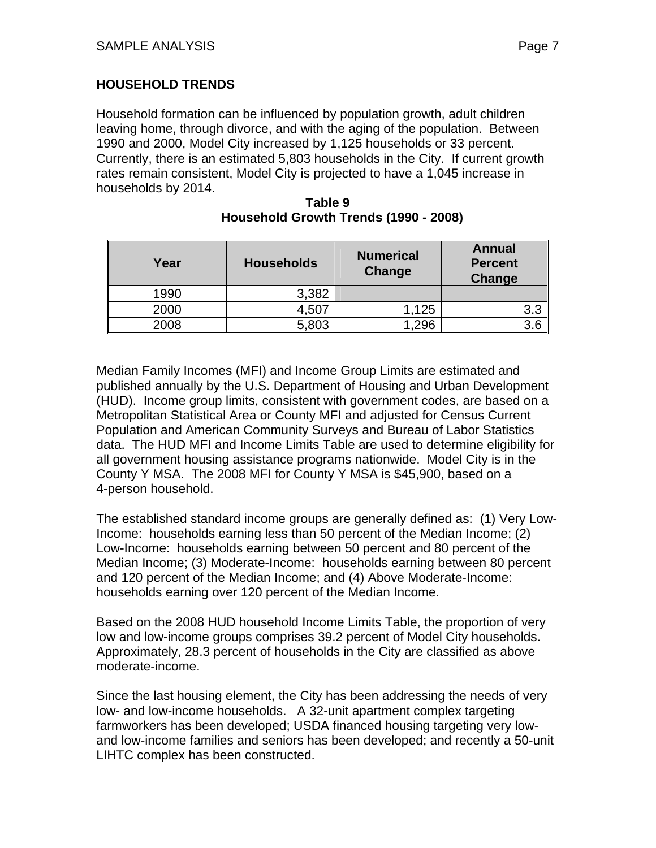## **HOUSEHOLD TRENDS**

Household formation can be influenced by population growth, adult children leaving home, through divorce, and with the aging of the population. Between 1990 and 2000, Model City increased by 1,125 households or 33 percent. Currently, there is an estimated 5,803 households in the City. If current growth rates remain consistent, Model City is projected to have a 1,045 increase in households by 2014.

| Year | <b>Households</b> | <b>Numerical</b><br>Change | <b>Annual</b><br><b>Percent</b><br>Change |
|------|-------------------|----------------------------|-------------------------------------------|
| 1990 | 3,382             |                            |                                           |
| 2000 | 4,507             | 1,125                      | 3.3                                       |
| 2008 | 5,803             | .296                       |                                           |

#### **Table 9 Household Growth Trends (1990 - 2008)**

Median Family Incomes (MFI) and Income Group Limits are estimated and published annually by the U.S. Department of Housing and Urban Development (HUD). Income group limits, consistent with government codes, are based on a Metropolitan Statistical Area or County MFI and adjusted for Census Current Population and American Community Surveys and Bureau of Labor Statistics data. The HUD MFI and Income Limits Table are used to determine eligibility for all government housing assistance programs nationwide. Model City is in the County Y MSA. The 2008 MFI for County Y MSA is \$45,900, based on a 4-person household.

The established standard income groups are generally defined as: (1) Very Low-Income: households earning less than 50 percent of the Median Income; (2) Low-Income: households earning between 50 percent and 80 percent of the Median Income; (3) Moderate-Income: households earning between 80 percent and 120 percent of the Median Income; and (4) Above Moderate-Income: households earning over 120 percent of the Median Income.

Based on the 2008 HUD household Income Limits Table, the proportion of very low and low-income groups comprises 39.2 percent of Model City households. Approximately, 28.3 percent of households in the City are classified as above moderate-income.

Since the last housing element, the City has been addressing the needs of very low- and low-income households. A 32-unit apartment complex targeting farmworkers has been developed; USDA financed housing targeting very lowand low-income families and seniors has been developed; and recently a 50-unit LIHTC complex has been constructed.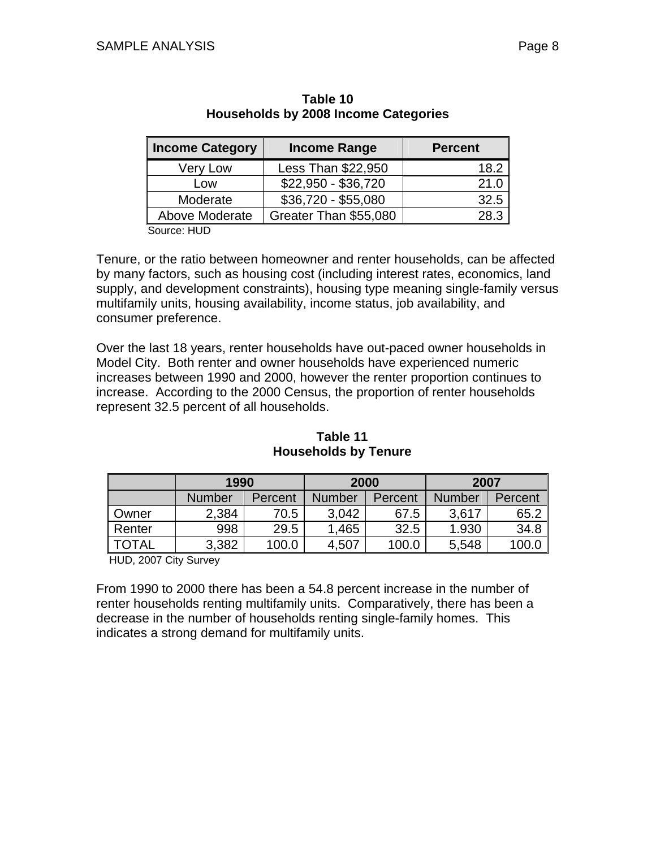| <b>Income Category</b> | <b>Income Range</b>   | <b>Percent</b> |
|------------------------|-----------------------|----------------|
| Very Low               | Less Than \$22,950    | 18.2           |
| Low                    | $$22,950 - $36,720$   | 21.0           |
| Moderate               | \$36,720 - \$55,080   | 32.5           |
| Above Moderate         | Greater Than \$55,080 | 28.3           |
| $P_{\text{All}}$       |                       |                |

### **Table 10 Households by 2008 Income Categories**

Source: HUD

Tenure, or the ratio between homeowner and renter households, can be affected by many factors, such as housing cost (including interest rates, economics, land supply, and development constraints), housing type meaning single-family versus multifamily units, housing availability, income status, job availability, and consumer preference.

Over the last 18 years, renter households have out-paced owner households in Model City. Both renter and owner households have experienced numeric increases between 1990 and 2000, however the renter proportion continues to increase. According to the 2000 Census, the proportion of renter households represent 32.5 percent of all households.

|              | 1990          |         | 2000          |         | 2007          |         |
|--------------|---------------|---------|---------------|---------|---------------|---------|
|              | <b>Number</b> | Percent | <b>Number</b> | Percent | <b>Number</b> | Percent |
| Owner        | 2,384         | 70.5    | 3.042         | 67.5    | 3,617         | 65.2    |
| Renter       | 998           | 29.5    | 1,465         | 32.5    | 1.930         | 34.8    |
| <b>TOTAL</b> | 3,382         | 100.0   | 4,507         | 100.0   | 5,548         | 100.C   |

**Table 11 Households by Tenure** 

HUD, 2007 City Survey

From 1990 to 2000 there has been a 54.8 percent increase in the number of renter households renting multifamily units. Comparatively, there has been a decrease in the number of households renting single-family homes. This indicates a strong demand for multifamily units.